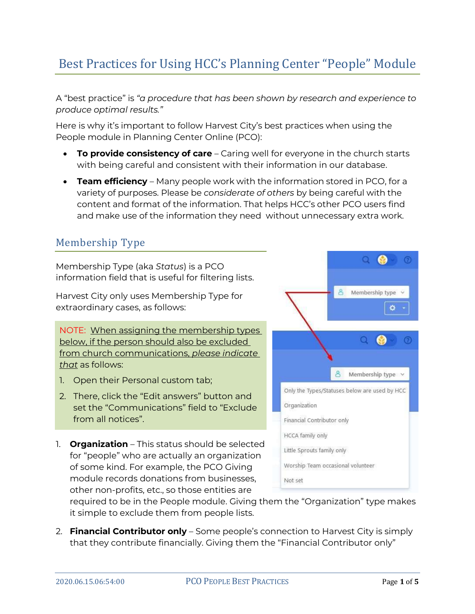# Best Practices for Using HCC's Planning Center "People" Module

A "best practice" is *"a procedure that has been shown by research and experience to produce optimal results."*

Here is why it's important to follow Harvest City's best practices when using the People module in Planning Center Online (PCO):

- **To provide consistency of care** Caring well for everyone in the church starts with being careful and consistent with their information in our database.
- **Team efficiency**  Many people work with the information stored in PCO, for a variety of purposes. Please be *considerate of others* by being careful with the content and format of the information. That helps HCC's other PCO users find and make use of the information they need without unnecessary extra work.

### Membership Type

Membership Type (aka *Status*) is a PCO information field that is useful for filtering lists.

Harvest City only uses Membership Type for extraordinary cases, as follows:

NOTE: When assigning the membership types below, if the person should also be excluded from church communications, *please indicate that* as follows:

- 1. Open their Personal custom tab;
- 2. There, click the "Edit answers" button and set the "Communications" field to "Exclude from all notices".
- 1. **Organization** This status should be selected for "people" who are actually an organization of some kind. For example, the PCO Giving module records donations from businesses, other non-profits, etc., so those entities are



required to be in the People module. Giving them the "Organization" type makes it simple to exclude them from people lists.

2. **Financial Contributor only** – Some people's connection to Harvest City is simply that they contribute financially. Giving them the "Financial Contributor only"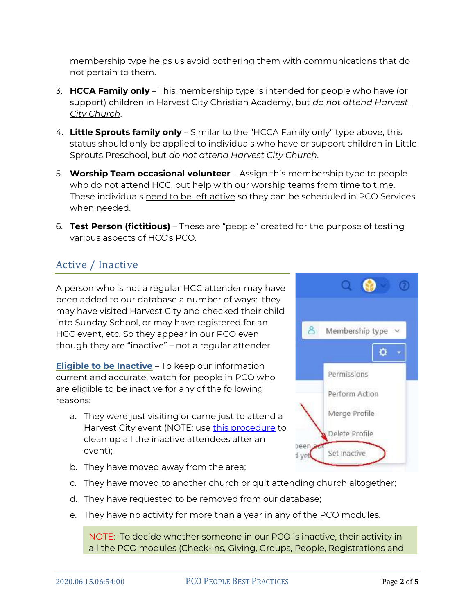membership type helps us avoid bothering them with communications that do not pertain to them.

- 3. **HCCA Family only** This membership type is intended for people who have (or support) children in Harvest City Christian Academy, but *do not attend Harvest City Church*.
- 4. **Little Sprouts family only** Similar to the "HCCA Family only" type above, this status should only be applied to individuals who have or support children in Little Sprouts Preschool, but *do not attend Harvest City Church*.
- 5. **Worship Team occasional volunteer** Assign this membership type to people who do not attend HCC, but help with our worship teams from time to time. These individuals need to be left active so they can be scheduled in PCO Services when needed.
- 6. **Test Person (fictitious)** These are "people" created for the purpose of testing various aspects of HCC's PCO.

## Active / Inactive

A person who is not a regular HCC attender may have been added to our database a number of ways: they may have visited Harvest City and checked their child into Sunday School, or may have registered for an HCC event, etc. So they appear in our PCO even though they are "inactive" – not a regular attender.

**Eligible to be Inactive** – To keep our information current and accurate, watch for people in PCO who are eligible to be inactive for any of the following reasons:

- a. They were just visiting or came just to attend a Harvest City event (NOTE: use [this procedure](https://pcopeople.zendesk.com/hc/en-us/articles/360009391314) to clean up all the inactive attendees after an event);
- b. They have moved away from the area;
- c. They have moved to another church or quit attending church altogether;
- d. They have requested to be removed from our database;
- e. They have no activity for more than a year in any of the PCO modules.

NOTE: To decide whether someone in our PCO is inactive, their activity in all the PCO modules (Check-ins, Giving, Groups, People, Registrations and

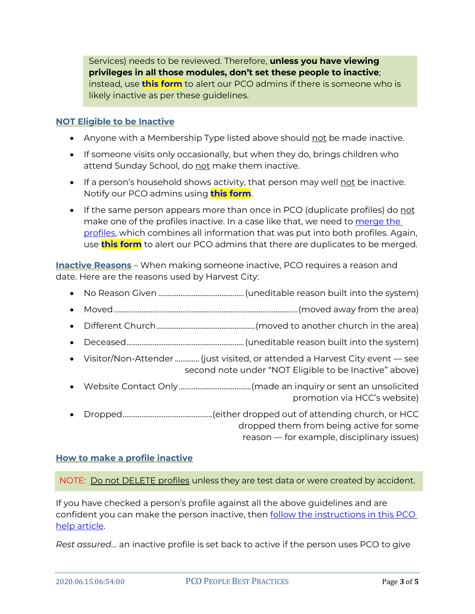Services) needs to be reviewed. Therefore, **unless you have viewing privileges in all those modules, don't set these people to inactive**; instead, use **[this form](https://harvestcity.churchcenter.com/people/forms/138719)** to alert our PCO admins if there is someone who is likely inactive as per these guidelines.

#### **NOT Eligible to be Inactive**

- Anyone with a Membership Type listed above should not be made inactive.
- If someone visits only occasionally, but when they do, brings children who attend Sunday School, do not make them inactive.
- $\bullet$  If a person's household shows activity, that person may well <u>not</u> be inactive. Notify our PCO admins using **[this form](https://harvestcity.churchcenter.com/people/forms/138719)**.
- If the same person appears more than once in PCO (duplicate profiles) do not make one of the profiles inactive. In a case like that, we need to merge the [profiles,](https://www.harvestcity.ca/merging/) which combines all information that was put into both profiles. Again, use **[this form](https://harvestcity.churchcenter.com/people/forms/138719)** to alert our PCO admins that there are duplicates to be merged.

**Inactive Reasons** – When making someone inactive, PCO requires a reason and date. Here are the reasons used by Harvest City:

- No Reason Given ..............................................(uneditable reason built into the system)
- Moved...................................................................................................(moved away from the area)
- Different Church.....................................................(moved to another church in the area)
- Deceased...............................................................(uneditable reason built into the system)
- Visitor/Non-Attender ............. (just visited, or attended a Harvest City event see second note under "NOT Eligible to be Inactive" above)
- Website Contact Only.......................................(made an inquiry or sent an unsolicited promotion via HCC's website)
- Dropped................................................(either dropped out of attending church, or HCC dropped them from being active for some reason — for example, disciplinary issues)

#### **How to make a profile inactive**

#### NOTE: Do not DELETE profiles unless they are test data or were created by accident.

If you have checked a person's profile against all the above guidelines and are confident you can make the person inactive, then [follow the instructions in this PCO](https://pcopeople.zendesk.com/hc/en-us/articles/227840007#MakeaProfileInactive)  [help article.](https://pcopeople.zendesk.com/hc/en-us/articles/227840007#MakeaProfileInactive)

*Rest assured…* an inactive profile is set back to active if the person uses PCO to give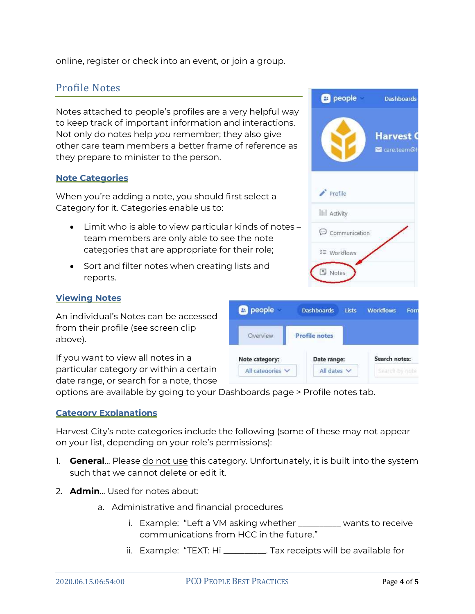online, register or check into an event, or join a group.

### Profile Notes

Notes attached to people's profiles are a very helpful way to keep track of important information and interactions. Not only do notes help *you* remember; they also give other care team members a better frame of reference as they prepare to minister to the person.

#### **Note Categories**

When you're adding a note, you should first select a Category for it. Categories enable us to:

- Limit who is able to view particular kinds of notes team members are only able to see the note categories that are appropriate for their role;
- Sort and filter notes when creating lists and reports.

#### **Viewing Notes**

An individual's Notes can be accessed from their profile (see screen clip above).

If you want to view all notes in a particular category or within a certain date range, or search for a note, those



options are available by going to your Dashboards page > Profile notes tab.

#### **Category Explanations**

Harvest City's note categories include the following (some of these may not appear on your list, depending on your role's permissions):

- 1. **General**… Please do not use this category. Unfortunately, it is built into the system such that we cannot delete or edit it.
- 2. **Admin**… Used for notes about:
	- a. Administrative and financial procedures
		- i. Example: "Left a VM asking whether \_\_\_\_\_\_\_\_\_\_ wants to receive communications from HCC in the future."
		- ii. Example: "TEXT: Hi \_\_\_\_\_\_\_\_\_\_. Tax receipts will be available for